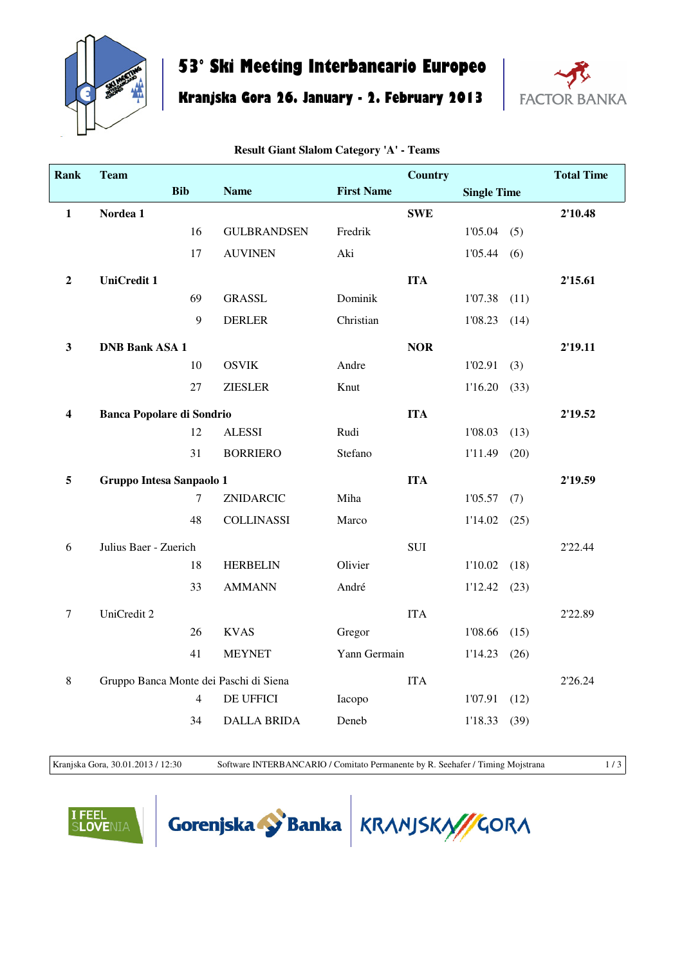

## **53° Ski Meeting Interbancario Europeo**

**Kranjska Gora 26. January - 2. February 2013**



| <b>Rank</b>      | <b>Team</b>                      |                |                                        |                   | Country    |                    |      | <b>Total Time</b> |
|------------------|----------------------------------|----------------|----------------------------------------|-------------------|------------|--------------------|------|-------------------|
|                  |                                  | <b>Bib</b>     | <b>Name</b>                            | <b>First Name</b> |            | <b>Single Time</b> |      |                   |
| $\mathbf{1}$     | Nordea 1                         |                |                                        |                   | <b>SWE</b> |                    |      | 2'10.48           |
|                  |                                  | 16             | <b>GULBRANDSEN</b>                     | Fredrik           |            | 1'05.04            | (5)  |                   |
|                  |                                  | 17             | <b>AUVINEN</b>                         | Aki               |            | 1'05.44            | (6)  |                   |
| $\boldsymbol{2}$ | <b>UniCredit 1</b>               |                |                                        |                   | <b>ITA</b> |                    |      | 2'15.61           |
|                  |                                  | 69             | <b>GRASSL</b>                          | Dominik           |            | 1'07.38            | (11) |                   |
|                  |                                  | 9              | <b>DERLER</b>                          | Christian         |            | 1'08.23            | (14) |                   |
| $\mathbf{3}$     | <b>DNB Bank ASA 1</b>            |                |                                        |                   | <b>NOR</b> |                    |      | 2'19.11           |
|                  |                                  | 10             | <b>OSVIK</b>                           | Andre             |            | 1'02.91            | (3)  |                   |
|                  |                                  | 27             | <b>ZIESLER</b>                         | Knut              |            | 1'16.20            | (33) |                   |
| 4                | <b>Banca Popolare di Sondrio</b> |                |                                        |                   | <b>ITA</b> |                    |      | 2'19.52           |
|                  |                                  | 12             | <b>ALESSI</b>                          | Rudi              |            | 1'08.03            | (13) |                   |
|                  |                                  | 31             | <b>BORRIERO</b>                        | Stefano           |            | 1'11.49            | (20) |                   |
| 5                | Gruppo Intesa Sanpaolo 1         |                |                                        |                   | <b>ITA</b> |                    |      | 2'19.59           |
|                  |                                  | 7              | ZNIDARCIC                              | Miha              |            | 1'05.57            | (7)  |                   |
|                  |                                  | 48             | <b>COLLINASSI</b>                      | Marco             |            | 1'14.02            | (25) |                   |
| 6                | Julius Baer - Zuerich            |                |                                        |                   | <b>SUI</b> |                    |      | 2'22.44           |
|                  |                                  | 18             | <b>HERBELIN</b>                        | Olivier           |            | 1'10.02            | (18) |                   |
|                  |                                  | 33             | <b>AMMANN</b>                          | André             |            | 1'12.42            | (23) |                   |
| $\tau$           | UniCredit 2                      |                |                                        |                   | <b>ITA</b> |                    |      | 2'22.89           |
|                  |                                  | 26             | <b>KVAS</b>                            | Gregor            |            | 1'08.66            | (15) |                   |
|                  |                                  | 41             | <b>MEYNET</b>                          | Yann Germain      |            | 1'14.23            | (26) |                   |
| 8                |                                  |                | Gruppo Banca Monte dei Paschi di Siena |                   | <b>ITA</b> |                    |      | 2'26.24           |
|                  |                                  | $\overline{4}$ | DE UFFICI                              | Iacopo            |            | 1'07.91            | (12) |                   |
|                  |                                  | 34             | <b>DALLA BRIDA</b>                     | Deneb             |            | 1'18.33            | (39) |                   |

**Result Giant Slalom Category 'A' - Teams**

Kranjska Gora, 30.01.2013 / 12:30 Software INTERBANCARIO / Comitato Permanente by R. Seehafer / Timing Mojstrana 1 / 3

**OVENIA** 



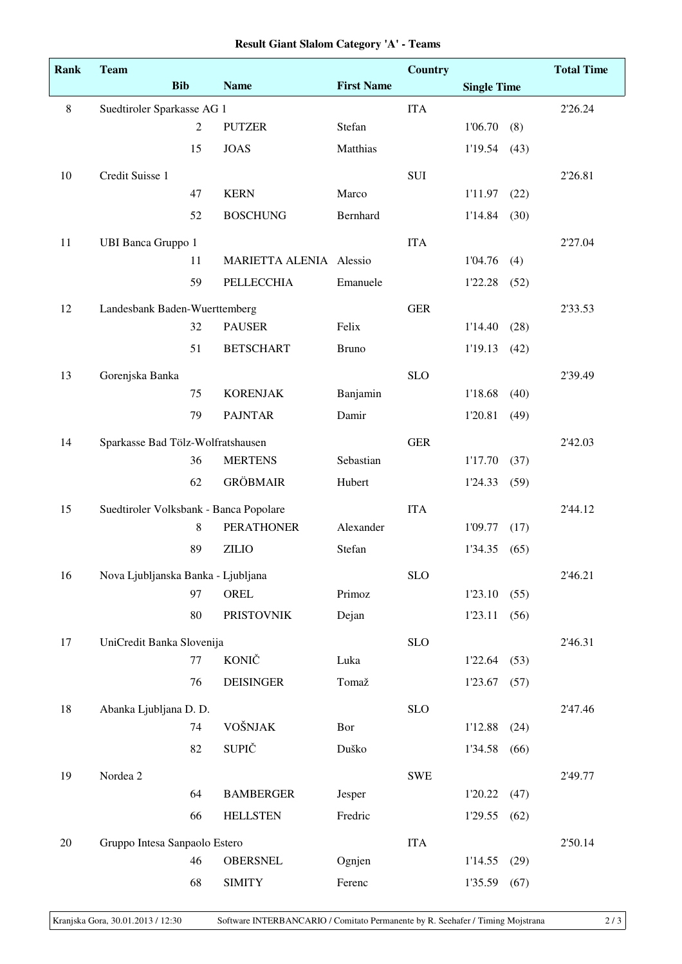| Rank    | <b>Team</b>                            |                |                         |                   | <b>Country</b> |                    |      | <b>Total Time</b> |
|---------|----------------------------------------|----------------|-------------------------|-------------------|----------------|--------------------|------|-------------------|
|         |                                        | <b>Bib</b>     | <b>Name</b>             | <b>First Name</b> |                | <b>Single Time</b> |      |                   |
| $\,8\,$ | Suedtiroler Sparkasse AG 1             |                |                         |                   | <b>ITA</b>     |                    |      | 2'26.24           |
|         |                                        | $\overline{2}$ | <b>PUTZER</b>           | Stefan            |                | 1'06.70            | (8)  |                   |
|         |                                        | 15             | <b>JOAS</b>             | Matthias          |                | 1'19.54            | (43) |                   |
| 10      | Credit Suisse 1                        |                |                         |                   | <b>SUI</b>     |                    |      | 2'26.81           |
|         |                                        | 47             | <b>KERN</b>             | Marco             |                | 1'11.97            | (22) |                   |
|         |                                        | 52             | <b>BOSCHUNG</b>         | Bernhard          |                | 1'14.84            | (30) |                   |
| 11      | <b>UBI Banca Gruppo 1</b>              |                |                         |                   | <b>ITA</b>     |                    |      | 2'27.04           |
|         |                                        | 11             | MARIETTA ALENIA Alessio |                   |                | 1'04.76            | (4)  |                   |
|         |                                        | 59             | <b>PELLECCHIA</b>       | Emanuele          |                | 1'22.28            | (52) |                   |
| 12      | Landesbank Baden-Wuerttemberg          |                |                         |                   | <b>GER</b>     |                    |      | 2'33.53           |
|         |                                        | 32             | <b>PAUSER</b>           | Felix             |                | 1'14.40            | (28) |                   |
|         |                                        | 51             | <b>BETSCHART</b>        | <b>Bruno</b>      |                | 1'19.13            | (42) |                   |
| 13      | Gorenjska Banka                        |                |                         |                   | <b>SLO</b>     |                    |      | 2'39.49           |
|         |                                        | 75             | <b>KORENJAK</b>         | Banjamin          |                | 1'18.68            | (40) |                   |
|         |                                        | 79             | <b>PAJNTAR</b>          | Damir             |                | 1'20.81            | (49) |                   |
| 14      | Sparkasse Bad Tölz-Wolfratshausen      |                |                         |                   | <b>GER</b>     |                    |      | 2'42.03           |
|         |                                        | 36             | <b>MERTENS</b>          | Sebastian         |                | 1'17.70            | (37) |                   |
|         |                                        | 62             | <b>GRÖBMAIR</b>         | Hubert            |                | 1'24.33            | (59) |                   |
| 15      | Suedtiroler Volksbank - Banca Popolare |                |                         |                   | <b>ITA</b>     |                    |      | 2'44.12           |
|         |                                        | 8              | <b>PERATHONER</b>       | Alexander         |                | 1'09.77            | (17) |                   |
|         |                                        | 89             | <b>ZILIO</b>            | Stefan            |                | 1'34.35            | (65) |                   |
| 16      | Nova Ljubljanska Banka - Ljubljana     |                |                         |                   | <b>SLO</b>     |                    |      | 2'46.21           |
|         |                                        | 97             | OREL                    | Primoz            |                | 1'23.10            | (55) |                   |
|         |                                        | 80             | <b>PRISTOVNIK</b>       | Dejan             |                | 1'23.11            | (56) |                   |
| 17      | UniCredit Banka Slovenija              |                |                         |                   | <b>SLO</b>     |                    |      | 2'46.31           |
|         |                                        | 77             | <b>KONIČ</b>            | Luka              |                | 1'22.64            | (53) |                   |
|         |                                        | 76             | <b>DEISINGER</b>        | Tomaž             |                | 1'23.67            | (57) |                   |
| 18      | Abanka Ljubljana D. D.                 |                |                         |                   | <b>SLO</b>     |                    |      | 2'47.46           |
|         |                                        | 74             | VOŠNJAK                 | Bor               |                | 1'12.88            | (24) |                   |
|         |                                        | 82             | <b>SUPIČ</b>            | Duško             |                | 1'34.58            | (66) |                   |
| 19      | Nordea 2                               |                |                         |                   | <b>SWE</b>     |                    |      | 2'49.77           |
|         |                                        | 64             | <b>BAMBERGER</b>        | Jesper            |                | 1'20.22            | (47) |                   |
|         |                                        | 66             | <b>HELLSTEN</b>         | Fredric           |                | 1'29.55            | (62) |                   |
| 20      | Gruppo Intesa Sanpaolo Estero          |                |                         |                   | <b>ITA</b>     |                    |      | 2'50.14           |
|         |                                        | 46             | <b>OBERSNEL</b>         | Ognjen            |                | 1'14.55            | (29) |                   |
|         |                                        | 68             | <b>SIMITY</b>           | Ferenc            |                | 1'35.59            | (67) |                   |